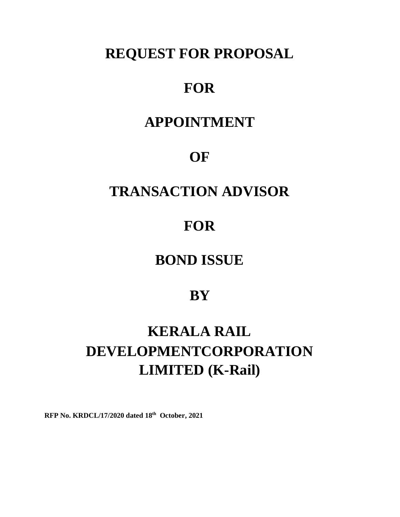# **REQUEST FOR PROPOSAL**

# **FOR**

# **APPOINTMENT**

# **OF**

# **TRANSACTION ADVISOR**

# **FOR**

# **BOND ISSUE**

## **BY**

# **KERALA RAIL DEVELOPMENTCORPORATION LIMITED (K-Rail)**

**RFP No. KRDCL/17/2020 dated 18 th October, 2021**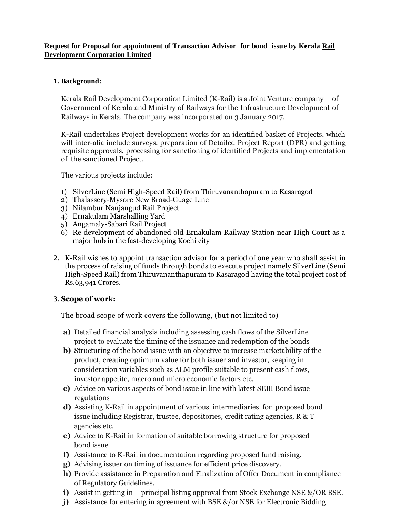#### **Request for Proposal for appointment of Transaction Advisor for bond issue by Kerala Rail Development Corporation Limited**

### **1. Background:**

Kerala Rail Development Corporation Limited (K-Rail) is a Joint Venture company of Government of Kerala and Ministry of Railways for the Infrastructure Development of Railways in Kerala. The company was incorporated on 3 January 2017.

K-Rail undertakes Project development works for an identified basket of Projects, which will inter-alia include surveys, preparation of Detailed Project Report (DPR) and getting requisite approvals, processing for sanctioning of identified Projects and implementation of the sanctioned Project.

The various projects include:

- 1) SilverLine (Semi High-Speed Rail) from Thiruvananthapuram to Kasaragod
- 2) Thalassery-Mysore New Broad-Guage Line
- 3) Nilambur Nanjangud Rail Project
- 4) Ernakulam Marshalling Yard
- 5) Angamaly-Sabari Rail Project
- 6) Re development of abandoned old Ernakulam Railway Station near High Court as a major hub in the fast-developing Kochi city
- **2.** K-Rail wishes to appoint transaction advisor for a period of one year who shall assist in the process of raising of funds through bonds to execute project namely SilverLine (Semi High-Speed Rail) from Thiruvananthapuram to Kasaragod having the total project cost of Rs.63,941 Crores.

#### **3. Scope of work:**

The broad scope of work covers the following, (but not limited to)

- **a)** Detailed financial analysis including assessing cash flows of the SilverLine project to evaluate the timing of the issuance and redemption of the bonds
- **b)** Structuring of the bond issue with an objective to increase marketability of the product, creating optimum value for both issuer and investor, keeping in consideration variables such as ALM profile suitable to present cash flows, investor appetite, macro and micro economic factors etc.
- **c)** Advice on various aspects of bond issue in line with latest SEBI Bond issue regulations
- **d)** Assisting K-Rail in appointment of various intermediaries for proposed bond issue including Registrar, trustee, depositories, credit rating agencies, R & T agencies etc.
- **e)** Advice to K-Rail in formation of suitable borrowing structure for proposed bond issue
- **f)** Assistance to K-Rail in documentation regarding proposed fund raising.
- **g)** Advising issuer on timing of issuance for efficient price discovery.
- **h)** Provide assistance in Preparation and Finalization of Offer Document in compliance of Regulatory Guidelines.
- **i)** Assist in getting in principal listing approval from Stock Exchange NSE &/OR BSE.
- **j**) Assistance for entering in agreement with BSE  $\&$ /or NSE for Electronic Bidding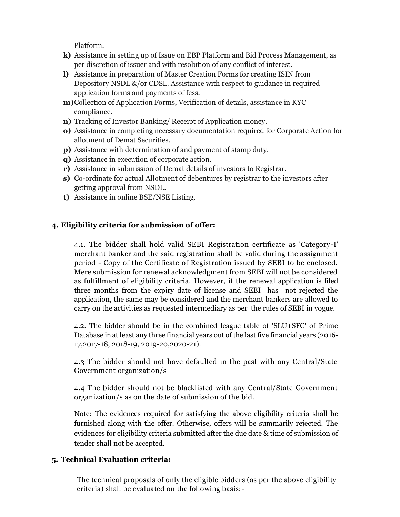Platform.

- **k)** Assistance in setting up of Issue on EBP Platform and Bid Process Management, as per discretion of issuer and with resolution of any conflict of interest.
- **l)** Assistance in preparation of Master Creation Forms for creating ISIN from Depository NSDL &/or CDSL. Assistance with respect to guidance in required application forms and payments of fess.
- **m)**Collection of Application Forms, Verification of details, assistance in KYC compliance.
- **n)** Tracking of Investor Banking/ Receipt of Application money.
- **o)** Assistance in completing necessary documentation required for Corporate Action for allotment of Demat Securities.
- **p)** Assistance with determination of and payment of stamp duty.
- **q)** Assistance in execution of corporate action.
- **r)** Assistance in submission of Demat details of investors to Registrar.
- **s)** Co-ordinate for actual Allotment of debentures by registrar to the investors after getting approval from NSDL.
- **t)** Assistance in online BSE/NSE Listing.

### **4. Eligibility criteria for submission of offer:**

4.1. The bidder shall hold valid SEBI Registration certificate as 'Category-I' merchant banker and the said registration shall be valid during the assignment period - Copy of the Certificate of Registration issued by SEBI to be enclosed. Mere submission for renewal acknowledgment from SEBI will not be considered as fulfillment of eligibility criteria. However, if the renewal application is filed three months from the expiry date of license and SEBI has not rejected the application, the same may be considered and the merchant bankers are allowed to carry on the activities as requested intermediary as per the rules of SEBI in vogue.

4.2. The bidder should be in the combined league table of 'SLU+SFC' of Prime Database in at least any three financial years out of the last five financial years (2016- 17,2017-18, 2018-19, 2019-20,2020-21).

4.3 The bidder should not have defaulted in the past with any Central/State Government organization/s

4.4 The bidder should not be blacklisted with any Central/State Government organization/s as on the date of submission of the bid.

Note: The evidences required for satisfying the above eligibility criteria shall be furnished along with the offer. Otherwise, offers will be summarily rejected. The evidences for eligibility criteria submitted after the due date & time of submission of tender shall not be accepted.

### **5. Technical Evaluation criteria:**

The technical proposals of only the eligible bidders (as per the above eligibility criteria) shall be evaluated on the following basis:-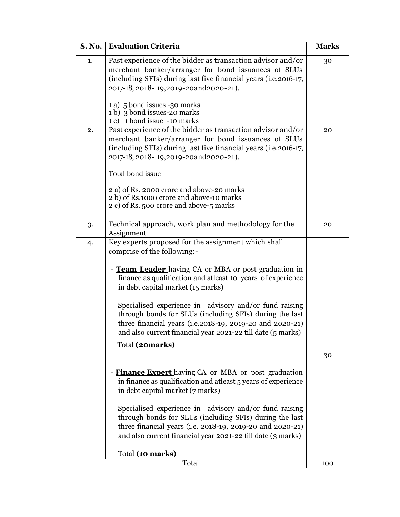| <b>S. No.</b> | <b>Evaluation Criteria</b>                                                                                                                                                                                                                                                                                                                                                                                                                                                                                                                                                                                                                                                                                                                                                                                                                                                                                                             | <b>Marks</b> |
|---------------|----------------------------------------------------------------------------------------------------------------------------------------------------------------------------------------------------------------------------------------------------------------------------------------------------------------------------------------------------------------------------------------------------------------------------------------------------------------------------------------------------------------------------------------------------------------------------------------------------------------------------------------------------------------------------------------------------------------------------------------------------------------------------------------------------------------------------------------------------------------------------------------------------------------------------------------|--------------|
| 1.            | Past experience of the bidder as transaction advisor and/or<br>merchant banker/arranger for bond issuances of SLUs<br>(including SFIs) during last five financial years (i.e.2016-17,<br>2017-18, 2018-19, 2019-20 and 2020-21).                                                                                                                                                                                                                                                                                                                                                                                                                                                                                                                                                                                                                                                                                                       | 30           |
|               | 1 a) 5 bond issues -30 marks<br>1 b) 3 bond issues-20 marks<br>1 c) 1 bond issue -10 marks                                                                                                                                                                                                                                                                                                                                                                                                                                                                                                                                                                                                                                                                                                                                                                                                                                             |              |
| 2.            | Past experience of the bidder as transaction advisor and/or<br>merchant banker/arranger for bond issuances of SLUs<br>(including SFIs) during last five financial years (i.e.2016-17,<br>2017-18, 2018-19, 2019-20 and 2020-21).<br>Total bond issue                                                                                                                                                                                                                                                                                                                                                                                                                                                                                                                                                                                                                                                                                   | 20           |
|               | 2 a) of Rs. 2000 crore and above-20 marks<br>2 b) of Rs.1000 crore and above-10 marks<br>2 c) of Rs. 500 crore and above-5 marks                                                                                                                                                                                                                                                                                                                                                                                                                                                                                                                                                                                                                                                                                                                                                                                                       |              |
| 3.            | Technical approach, work plan and methodology for the<br>Assignment                                                                                                                                                                                                                                                                                                                                                                                                                                                                                                                                                                                                                                                                                                                                                                                                                                                                    | 20           |
| 4.            | Key experts proposed for the assignment which shall<br>comprise of the following:-<br>- <b>Team Leader</b> having CA or MBA or post graduation in<br>finance as qualification and atleast 10 years of experience<br>in debt capital market (15 marks)<br>Specialised experience in advisory and/or fund raising<br>through bonds for SLUs (including SFIs) during the last<br>three financial years (i.e.2018-19, 2019-20 and 2020-21)<br>and also current financial year 2021-22 till date (5 marks)<br>Total (20marks)<br>- Finance Expert having CA or MBA or post graduation<br>in finance as qualification and atleast 5 years of experience<br>in debt capital market (7 marks)<br>Specialised experience in advisory and/or fund raising<br>through bonds for SLUs (including SFIs) during the last<br>three financial years (i.e. 2018-19, 2019-20 and 2020-21)<br>and also current financial year 2021-22 till date (3 marks) | 30           |
|               | Total (10 marks)<br>Total                                                                                                                                                                                                                                                                                                                                                                                                                                                                                                                                                                                                                                                                                                                                                                                                                                                                                                              | 100          |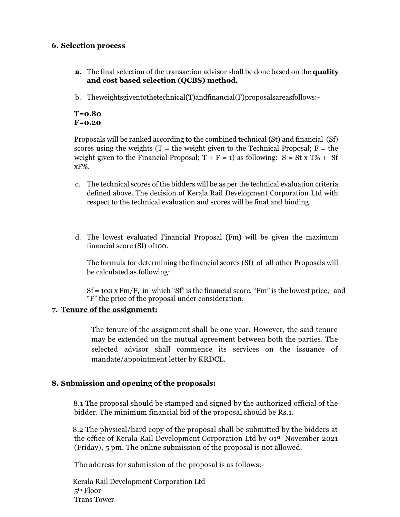#### **6. Selection process**

- **a.** The final selection of the transaction advisor shall be done based on the **quality and cost based selection (QCBS) method.**
- b. Theweightsgiventothetechnical(T)andfinancial(F)proposalsareasfollows:-

#### **T=0.80 F=0.20**

Proposals will be ranked according to the combined technical (St) and financial (Sf) scores using the weights ( $T =$  the weight given to the Technical Proposal;  $F =$  the weight given to the Financial Proposal;  $T + F = 1$ ) as following:  $S = St x T\% + Sf$ xF%.

- c. The technical scores of the bidders will be as per the technical evaluation criteria defined above. The decision of Kerala Rail Development Corporation Ltd with respect to the technical evaluation and scores will be final and binding.
- d. The lowest evaluated Financial Proposal (Fm) will be given the maximum financial score (Sf) of100.

The formula for determining the financial scores (Sf) of all other Proposals will be calculated as following:

 $Sf = 100 \text{ x Fm/F}$ , in which "Sf" is the financial score, "Fm" is the lowest price, and "F" the price of the proposal under consideration.

### **7. Tenure of the assignment:**

The tenure of the assignment shall be one year. However, the said tenure may be extended on the mutual agreement between both the parties. The selected advisor shall commence its services on the issuance of mandate/appointment letter by KRDCL.

### **8. Submission and opening of the proposals:**

8.1 The proposal should be stamped and signed by the authorized official of the bidder. The minimum financial bid of the proposal should be Rs.1.

8.2 The physical/hard copy of the proposal shall be submitted by the bidders at the office of Kerala Rail Development Corporation Ltd by 01st November 2021 (Friday), 5 pm. The online submission of the proposal is not allowed.

The address for submission of the proposal is as follows:-

Kerala Rail Development Corporation Ltd 5 th Floor Trans Tower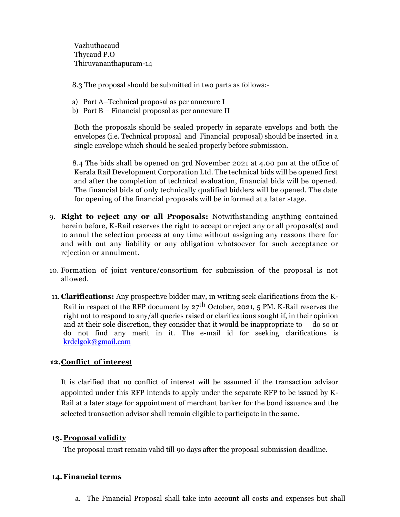Vazhuthacaud Thycaud P.O Thiruvananthapuram-14

8.3 The proposal should be submitted in two parts as follows:-

- a) Part A–Technical proposal as per annexure I
- b) Part B Financial proposal as per annexure II

Both the proposals should be sealed properly in separate envelops and both the envelopes (i.e. Technical proposal and Financial proposal) should be inserted in a single envelope which should be sealed properly before submission.

8.4 The bids shall be opened on 3rd November 2021 at 4.00 pm at the office of Kerala Rail Development Corporation Ltd. The technical bids will be opened first and after the completion of technical evaluation, financial bids will be opened. The financial bids of only technically qualified bidders will be opened. The date for opening of the financial proposals will be informed at a later stage.

- 9. **Right to reject any or all Proposals:** Notwithstanding anything contained herein before, K-Rail reserves the right to accept or reject any or all proposal(s) and to annul the selection process at any time without assigning any reasons there for and with out any liability or any obligation whatsoever for such acceptance or rejection or annulment.
- 10. Formation of joint venture/consortium for submission of the proposal is not allowed.
- 11. **Clarifications:** Any prospective bidder may, in writing seek clarifications from the K-Rail in respect of the RFP document by  $27<sup>th</sup>$  October, 2021, 5 PM. K-Rail reserves the right not to respond to any/all queries raised or clarifications sought if, in their opinion and at their sole discretion, they consider that it would be inappropriate to do so or do not find any merit in it. The e-mail id for seeking clarifications is [krdclgok@gmail.com](mailto:krdclgok@gmail.com)

#### **12.Conflict of interest**

It is clarified that no conflict of interest will be assumed if the transaction advisor appointed under this RFP intends to apply under the separate RFP to be issued by K-Rail at a later stage for appointment of merchant banker for the bond issuance and the selected transaction advisor shall remain eligible to participate in the same.

#### **13. Proposal validity**

The proposal must remain valid till 90 days after the proposal submission deadline.

#### **14.Financial terms**

a. The Financial Proposal shall take into account all costs and expenses but shall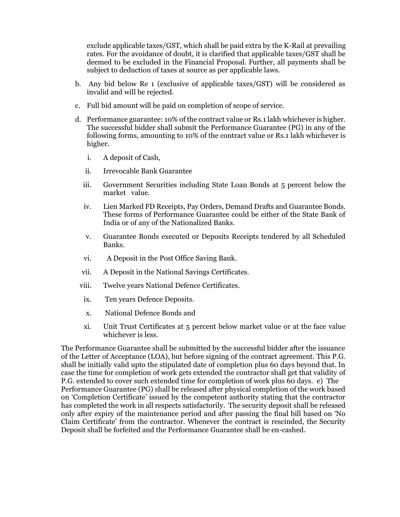exclude applicable taxes/GST, which shall be paid extra by the K-Rail at prevailing rates. For the avoidance of doubt, it is clarified that applicable taxes/GST shall be deemed to be excluded in the Financial Proposal. Further, all payments shall be subject to deduction of taxes at source as per applicable laws.

- b. Any bid below Re 1 (exclusive of applicable taxes/GST) will be considered as invalid and will be rejected.
- c. Full bid amount will be paid on completion of scope of service.
- d. Performance guarantee: 10% of the contract value or Rs.1 lakh whichever is higher. The successful bidder shall submit the Performance Guarantee (PG) in any of the following forms, amounting to 10% of the contract value or Rs.1 lakh whichever is higher.
	- i. A deposit of Cash,
	- ii. Irrevocable Bank Guarantee
	- iii. Government Securities including State Loan Bonds at 5 percent below the market value.
	- iv. Lien Marked FD Receipts, Pay Orders, Demand Drafts and Guarantee Bonds. These forms of Performance Guarantee could be either of the State Bank of India or of any of the Nationalized Banks.
	- v. Guarantee Bonds executed or Deposits Receipts tendered by all Scheduled Banks.
	- vi. A Deposit in the Post Office Saving Bank.
	- vii. A Deposit in the National Savings Certificates.
	- viii. Twelve years National Defence Certificates.
	- ix. Ten years Defence Deposits.
	- x. National Defence Bonds and
	- xi. Unit Trust Certificates at 5 percent below market value or at the face value whichever is less.

The Performance Guarantee shall be submitted by the successful bidder after the issuance of the Letter of Acceptance (LOA), but before signing of the contract agreement. This P.G. shall be initially valid upto the stipulated date of completion plus 60 days beyond that. In case the time for completion of work gets extended the contractor shall get that validity of P.G. extended to cover such extended time for completion of work plus 60 days. e) The Performance Guarantee (PG) shall be released after physical completion of the work based on 'Completion Certificate' issued by the competent authority stating that the contractor has completed the work in all respects satisfactorily. The security deposit shall be released only after expiry of the maintenance period and after passing the final bill based on 'No Claim Certificate' from the contractor. Whenever the contract is rescinded, the Security Deposit shall be forfeited and the Performance Guarantee shall be en-cashed.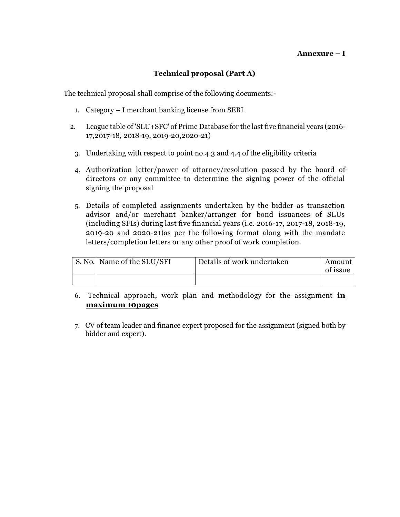### **Annexure – I**

### **Technical proposal (Part A)**

The technical proposal shall comprise of the following documents:-

- 1. Category I merchant banking license from SEBI
- 2. League table of 'SLU+SFC' of Prime Database for the last five financial years (2016- 17,2017-18, 2018-19, 2019-20,2020-21)
- 3. Undertaking with respect to point no.4.3 and 4.4 of the eligibility criteria
- 4. Authorization letter/power of attorney/resolution passed by the board of directors or any committee to determine the signing power of the official signing the proposal
- 5. Details of completed assignments undertaken by the bidder as transaction advisor and/or merchant banker/arranger for bond issuances of SLUs (including SFIs) during last five financial years (i.e. 2016-17, 2017-18, 2018-19, 2019-20 and 2020-21)as per the following format along with the mandate letters/completion letters or any other proof of work completion.

| S. No. Name of the SLU/SFI | Details of work undertaken | Amount<br>of issue |
|----------------------------|----------------------------|--------------------|
|                            |                            |                    |

- 6. Technical approach, work plan and methodology for the assignment **in maximum 10pages**
- 7. CV of team leader and finance expert proposed for the assignment (signed both by bidder and expert).